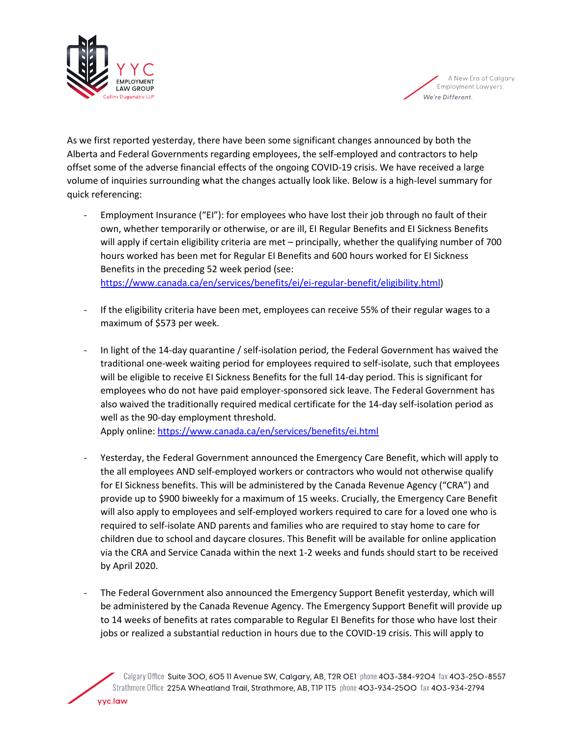



As we first reported yesterday, there have been some significant changes announced by both the Alberta and Federal Governments regarding employees, the self-employed and contractors to help offset some of the adverse financial effects of the ongoing COVID-19 crisis. We have received a large volume of inquiries surrounding what the changes actually look like. Below is a high-level summary for quick referencing:

- Employment Insurance ("EI"): for employees who have lost their job through no fault of their own, whether temporarily or otherwise, or are ill, EI Regular Benefits and EI Sickness Benefits will apply if certain eligibility criteria are met – principally, whether the qualifying number of 700 hours worked has been met for Regular EI Benefits and 600 hours worked for EI Sickness Benefits in the preceding 52 week period (see: [https://www.canada.ca/en/services/benefits/ei/ei-regular-benefit/eligibility.html\)](https://www.canada.ca/en/services/benefits/ei/ei-regular-benefit/eligibility.html)
- If the eligibility criteria have been met, employees can receive 55% of their regular wages to a maximum of \$573 per week.
- In light of the 14-day quarantine / self-isolation period, the Federal Government has waived the traditional one-week waiting period for employees required to self-isolate, such that employees will be eligible to receive EI Sickness Benefits for the full 14-day period. This is significant for employees who do not have paid employer-sponsored sick leave. The Federal Government has also waived the traditionally required medical certificate for the 14-day self-isolation period as well as the 90-day employment threshold.
	- Apply online:<https://www.canada.ca/en/services/benefits/ei.html>
- Yesterday, the Federal Government announced the Emergency Care Benefit, which will apply to the all employees AND self-employed workers or contractors who would not otherwise qualify for EI Sickness benefits. This will be administered by the Canada Revenue Agency ("CRA") and provide up to \$900 biweekly for a maximum of 15 weeks. Crucially, the Emergency Care Benefit will also apply to employees and self-employed workers required to care for a loved one who is required to self-isolate AND parents and families who are required to stay home to care for children due to school and daycare closures. This Benefit will be available for online application via the CRA and Service Canada within the next 1-2 weeks and funds should start to be received by April 2020.
- The Federal Government also announced the Emergency Support Benefit yesterday, which will be administered by the Canada Revenue Agency. The Emergency Support Benefit will provide up to 14 weeks of benefits at rates comparable to Regular EI Benefits for those who have lost their jobs or realized a substantial reduction in hours due to the COVID-19 crisis. This will apply to